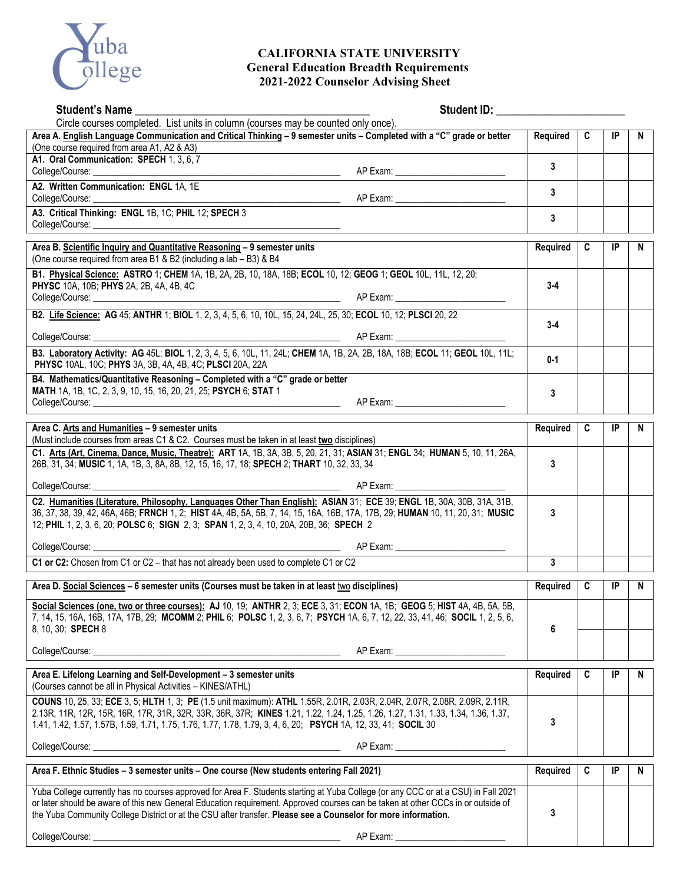

## **CALIFORNIA STATE UNIVERSITY General Education Breadth Requirements 2021-2022 Counselor Advising Sheet**

| <b>Student's Name</b>                                                                                                                                                                                                                                                                                                                                                                    | Student ID: Value of the Student ID:  |          |   |    |   |
|------------------------------------------------------------------------------------------------------------------------------------------------------------------------------------------------------------------------------------------------------------------------------------------------------------------------------------------------------------------------------------------|---------------------------------------|----------|---|----|---|
| Circle courses completed. List units in column (courses may be counted only once).<br>Area A. English Language Communication and Critical Thinking - 9 semester units - Completed with a "C" grade or better                                                                                                                                                                             |                                       | Required | C | IP | N |
| (One course required from area A1, A2 & A3)                                                                                                                                                                                                                                                                                                                                              |                                       |          |   |    |   |
| A1. Oral Communication: SPECH 1, 3, 6, 7                                                                                                                                                                                                                                                                                                                                                 |                                       | 3        |   |    |   |
|                                                                                                                                                                                                                                                                                                                                                                                          |                                       |          |   |    |   |
| A2. Written Communication: ENGL 1A, 1E                                                                                                                                                                                                                                                                                                                                                   |                                       | 3        |   |    |   |
|                                                                                                                                                                                                                                                                                                                                                                                          |                                       | 3        |   |    |   |
|                                                                                                                                                                                                                                                                                                                                                                                          |                                       |          |   |    |   |
| Area B. Scientific Inquiry and Quantitative Reasoning - 9 semester units<br>(One course required from area B1 & B2 (including a lab - B3) & B4                                                                                                                                                                                                                                           |                                       | Required | C | IP | N |
| B1. Physical Science: ASTRO 1; CHEM 1A, 1B, 2A, 2B, 10, 18A, 18B; ECOL 10, 12; GEOG 1; GEOL 10L, 11L, 12, 20;<br>PHYSC 10A, 10B; PHYS 2A, 2B, 4A, 4B, 4C                                                                                                                                                                                                                                 |                                       | $3 - 4$  |   |    |   |
|                                                                                                                                                                                                                                                                                                                                                                                          |                                       |          |   |    |   |
| B2. Life Science: AG 45; ANTHR 1; BIOL 1, 2, 3, 4, 5, 6, 10, 10L, 15, 24, 24L, 25, 30; ECOL 10, 12; PLSCI 20, 22                                                                                                                                                                                                                                                                         |                                       | $3 - 4$  |   |    |   |
|                                                                                                                                                                                                                                                                                                                                                                                          |                                       |          |   |    |   |
| B3. Laboratory Activity: AG 45L; BIOL 1, 2, 3, 4, 5, 6, 10L, 11, 24L; CHEM 1A, 1B, 2A, 2B, 18A, 18B; ECOL 11; GEOL 10L, 11L;<br>PHYSC 10AL, 10C; PHYS 3A, 3B, 4A, 4B, 4C; PLSCI 20A, 22A                                                                                                                                                                                                 |                                       | $0 - 1$  |   |    |   |
| B4. Mathematics/Quantitative Reasoning - Completed with a "C" grade or better                                                                                                                                                                                                                                                                                                            |                                       |          |   |    |   |
| MATH 1A, 1B, 1C, 2, 3, 9, 10, 15, 16, 20, 21, 25; PSYCH 6; STAT 1                                                                                                                                                                                                                                                                                                                        |                                       | 3        |   |    |   |
|                                                                                                                                                                                                                                                                                                                                                                                          |                                       |          |   |    |   |
| Area C. Arts and Humanities - 9 semester units<br>(Must include courses from areas C1 & C2. Courses must be taken in at least two disciplines)                                                                                                                                                                                                                                           |                                       | Required | C | IP | N |
| C1. Arts (Art, Cinema, Dance, Music, Theatre): ART 1A, 1B, 3A, 3B, 5, 20, 21, 31; ASIAN 31; ENGL 34; HUMAN 5, 10, 11, 26A,<br>26B, 31, 34; MUSIC 1, 1A, 1B, 3, 8A, 8B, 12, 15, 16, 17, 18; SPECH 2; THART 10, 32, 33, 34                                                                                                                                                                 |                                       | 3        |   |    |   |
|                                                                                                                                                                                                                                                                                                                                                                                          |                                       |          |   |    |   |
| C2. Humanities (Literature, Philosophy, Languages Other Than English): ASIAN 31; ECE 39; ENGL 1B, 30A, 30B, 31A, 31B,                                                                                                                                                                                                                                                                    |                                       |          |   |    |   |
| 36, 37, 38, 39, 42, 46A, 46B; FRNCH 1, 2; HIST 4A, 4B, 5A, 5B, 7, 14, 15, 16A, 16B, 17A, 17B, 29; HUMAN 10, 11, 20, 31; MUSIC<br>12; PHIL 1, 2, 3, 6, 20; POLSC 6; SIGN 2, 3; SPAN 1, 2, 3, 4, 10, 20A, 20B, 36; SPECH 2                                                                                                                                                                 |                                       | 3        |   |    |   |
|                                                                                                                                                                                                                                                                                                                                                                                          |                                       |          |   |    |   |
| C1 or C2: Chosen from C1 or C2 - that has not already been used to complete C1 or C2                                                                                                                                                                                                                                                                                                     |                                       | 3        |   |    |   |
|                                                                                                                                                                                                                                                                                                                                                                                          |                                       |          |   |    |   |
| Area D. Social Sciences - 6 semester units (Courses must be taken in at least two disciplines)                                                                                                                                                                                                                                                                                           |                                       | Required | C | IP | N |
| Social Sciences (one, two or three courses): AJ 10, 19; ANTHR 2, 3; ECE 3, 31; ECON 1A, 1B; GEOG 5; HIST 4A, 4B, 5A, 5B,<br>7, 14, 15, 16A, 16B, 17A, 17B, 29; MCOMM 2; PHIL 6; POLSC 1, 2, 3, 6, 7; PSYCH 1A, 6, 7, 12, 22, 33, 41, 46; SOCIL 1, 2, 5, 6,                                                                                                                               |                                       |          |   |    |   |
| 8, 10, 30; <b>SPECH 8</b>                                                                                                                                                                                                                                                                                                                                                                |                                       | 6        |   |    |   |
| College/Course: _                                                                                                                                                                                                                                                                                                                                                                        |                                       |          |   |    |   |
| Area E. Lifelong Learning and Self-Development - 3 semester units<br>(Courses cannot be all in Physical Activities - KINES/ATHL)                                                                                                                                                                                                                                                         |                                       | Required | C | IP | N |
| COUNS 10, 25, 33; ECE 3, 5; HLTH 1, 3; PE (1.5 unit maximum): ATHL 1.55R, 2.01R, 2.03R, 2.04R, 2.07R, 2.08R, 2.09R, 2.11R,                                                                                                                                                                                                                                                               |                                       |          |   |    |   |
| 2.13R, 11R, 12R, 15R, 16R, 17R, 31R, 32R, 33R, 36R, 37R; KINES 1.21, 1.22, 1.24, 1.25, 1.26, 1.27, 1.31, 1.33, 1.34, 1.36, 1.37,<br>1.41, 1.42, 1.57, 1.57B, 1.59, 1.71, 1.75, 1.76, 1.77, 1.78, 1.79, 3, 4, 6, 20; PSYCH 1A, 12, 33, 41; SOCIL 30                                                                                                                                       |                                       | 3        |   |    |   |
|                                                                                                                                                                                                                                                                                                                                                                                          | AP Exam: ____________________________ |          |   |    |   |
| Area F. Ethnic Studies - 3 semester units - One course (New students entering Fall 2021)                                                                                                                                                                                                                                                                                                 |                                       | Required | C | IP | N |
| Yuba College currently has no courses approved for Area F. Students starting at Yuba College (or any CCC or at a CSU) in Fall 2021<br>or later should be aware of this new General Education requirement. Approved courses can be taken at other CCCs in or outside of<br>the Yuba Community College District or at the CSU after transfer. Please see a Counselor for more information. |                                       | 3        |   |    |   |
| College/Course:                                                                                                                                                                                                                                                                                                                                                                          | AP Exam:                              |          |   |    |   |